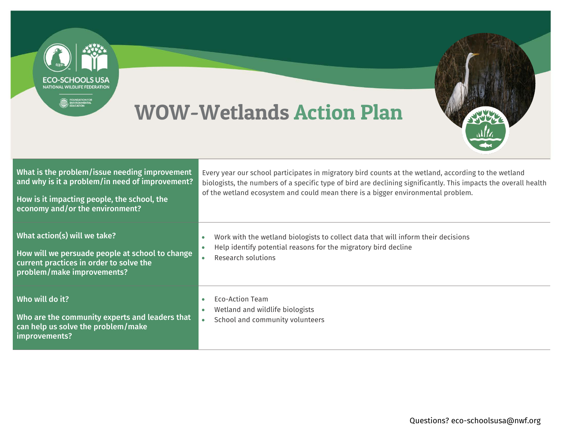

## WOW-Wetlands Action Plan



| What is the problem/issue needing improvement<br>and why is it a problem/in need of improvement?<br>How is it impacting people, the school, the<br>economy and/or the environment? | Every year our school participates in migratory bird counts at the wetland, according to the wetland<br>biologists, the numbers of a specific type of bird are declining significantly. This impacts the overall health<br>of the wetland ecosystem and could mean there is a bigger environmental problem. |
|------------------------------------------------------------------------------------------------------------------------------------------------------------------------------------|-------------------------------------------------------------------------------------------------------------------------------------------------------------------------------------------------------------------------------------------------------------------------------------------------------------|
| What action(s) will we take?<br>How will we persuade people at school to change<br>current practices in order to solve the<br>problem/make improvements?                           | Work with the wetland biologists to collect data that will inform their decisions<br>Help identify potential reasons for the migratory bird decline<br>$\bullet$<br>Research solutions                                                                                                                      |
| Who will do it?<br>Who are the community experts and leaders that<br>can help us solve the problem/make<br>improvements?                                                           | Eco-Action Team<br>Wetland and wildlife biologists<br>۰<br>School and community volunteers<br>$\bullet$                                                                                                                                                                                                     |